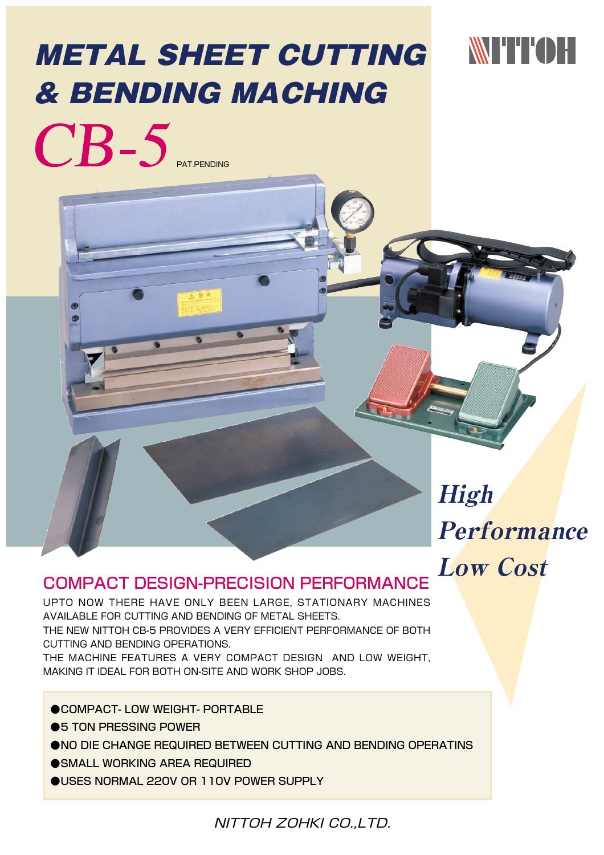# METAL SHEET CUTTING & BENDING MACHING

## WITTOH

PAT.PENDING

High **Performance** Low Cost

### COMPACT DESIGN-PRECISION PERFORMANCE

UPTO NOW THERE HAVE ONLY BEEN LARGE, STATIONARY MACHINES AVAILABLE FOR CUTTING AND BENDING OF METAL SHEETS. THE NEW NITTOH CB-5 PROVIDES A VERY EFFICIENT PERFORMANCE OF BOTH CUTTING AND BENDING OPERATIONS.

THE MACHINE FEATURES A VERY COMPACT DESIGN AND LOW WEIGHT, MAKING IT IDEAL FOR BOTH ON-SITE AND WORK SHOP JOBS.

●COMPACT- LOW WEIGHT- PORTABLE

- ●5 TON PRESSING POWER
- ●NO DIE CHANGE REQUIRED BETWEEN CUTTING AND BENDING OPERATINS
- ●SMALL WORKING AREA REQUIRED
- **OUSES NORMAL 220V OR 110V POWER SUPPLY**

NITTOH ZOHKI CO.,LTD.